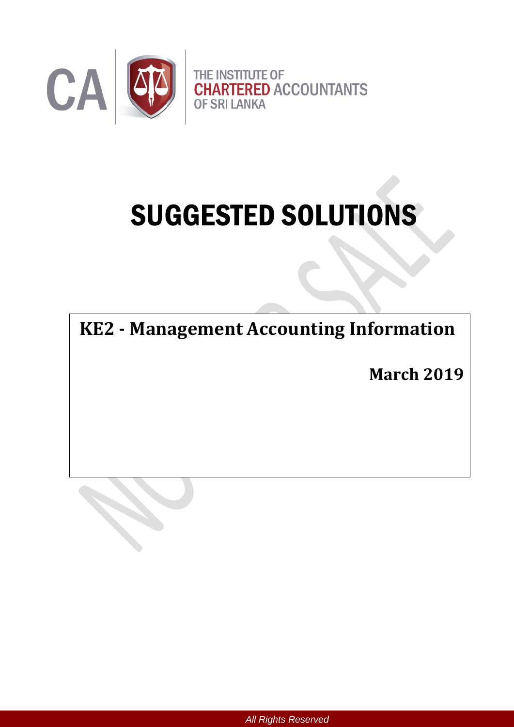

# SUGGESTED SOLUTIONS

**KE2 - Management Accounting Information**

**March 2019**

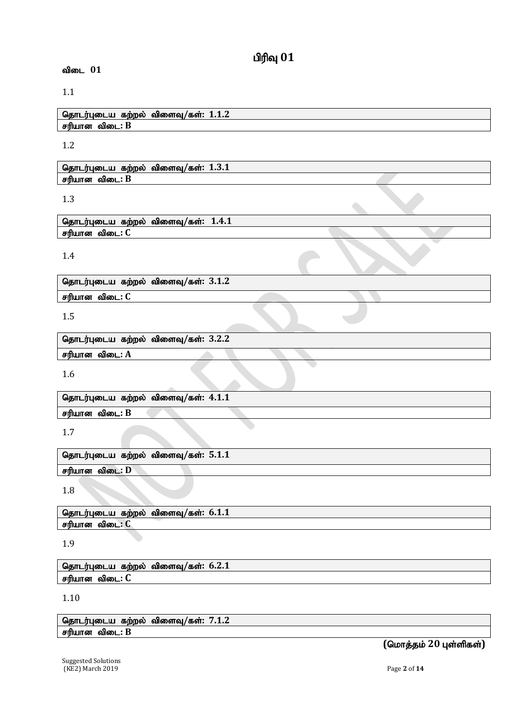# $n$ ரிவு  $01$

#### விடை 01

#### 1.1

njhlu;Gila fw;wy; tpisT**/**fs;**: 1.1.2** சரியான விடை: B

1.2

தொடர்புடைய கற்றல் விளைவு/கள்: 1.3.1 சரியான விடை: **B** 

#### 1.3

தொடர்புடைய கற்றல் விளைவு/கள்: 1.4.1 சரியான விடை: C

#### 1.4

தொடர்புடைய கற்றல் விளைவு/கள்:  $3.1.2$ 

சரியான விடை: C

1.5

தொடர்புடைய கற்றல் விளைவு/கள்: 3.2.2 சரியான விடை: A

1.6

தொடர்புடைய கற்றல் விளைவு/கள்: 4.1.1 சரியான விடை: B

1.7

தொடர்புடைய கற்றல் விளைவு/கள்: 5.1.1 சரியான விடை: **D** 

1.8

தொடர்புடைய கற்றல் விளைவு/கள்: 6.1.1 சரியான விடை: C

#### 1.9

தொடர்புடைய கற்றல் விளைவு/கள்: 6.2.1 சரியான விடை: **C** 

#### 1.10

தொடர்புடைய கற்றல் விளைவு/கள்: 7.1.2 சரியான விடை: B

 $($ மொத்தம் 20 புள்ளிகள்)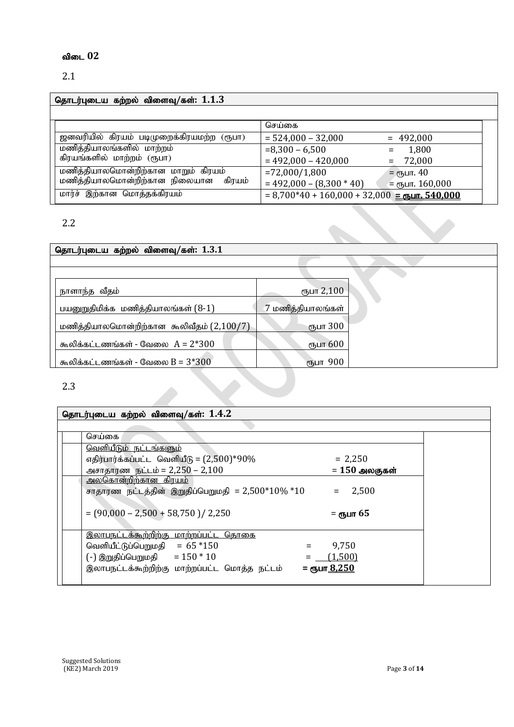#### விடை 02

#### 2.1

## njhlu;Gila fw;wy; tpisT**/**fs;**: 1.1.3**

|                                           | செய்கை                                                                  |  |
|-------------------------------------------|-------------------------------------------------------------------------|--|
| ஜனவரியில் கிரயம் படிமுறைக்கிரயமற்ற (ரூபா) | $= 524,000 - 32,000$<br>$= 492,000$                                     |  |
| மணித்தியாலங்களில் மாற்றம்                 | $= 8,300 - 6,500$<br>1,800                                              |  |
| கிரயங்களில் மாற்றம் (ரூபா)                | $= 492,000 - 420,000$<br>$= 72,000$                                     |  |
| மணித்தியாலமொன்றிற்கான மாறும் கிரயம்       | $= 72,000/1,800$<br>= $\epsilon$ ҧபா. 40                                |  |
| மணித்தியாலமொன்றிற்கான நிலையான கிரயம்      | $= 492,000 - (8,300 * 40)$<br>$=$ стушт. 160,000                        |  |
| மார்ச் இற்கான மொத்தக்கிரயம்               | $= 8,700*40 + 160,000 + 32,000 =$ m $\frac{1}{2}$ m $\frac{540,000}{2}$ |  |

#### 2.2

# <u>தொடர்புடைய கற்றல்</u> விளைவு/கள்: 1.3.1 ehshe ;j tPjk; &gh 2,100 பயனுறுதிமிக்க மணித்தியாலங்கள் $(8-1)$  7 மணித்தியாலங்கள் மணித்தியாலமொன்றிற்கான கூலிவீதம்  $(2,100/7)$ கூலிக்கட்டணங்கள் - வேலை  $A = 2*300$ கூலிக்கட்டணங்கள் - வேலை  $B = 3*300$  (ரூபா  $900$

2.3

# தொடர்புடைய கற்றல் விளைவு/கள்: 1.4.2 செய்கை வெளியீடும் நட்டங்களும் எதிர்பார்க்கப்பட்ட வெளியீடு =  $(2,500)^*90\%$  = 2,250 அசாதாரண நட்டம் = 2,250 – 2,100 **= 150 அலகுகள்** அலகொன்றிற்கான கிரயம் சாதாரண நட்டத்தின் இறுதிப்பெறுமதி = 2,500\* $10\%$  \* $10$  = 2,500  $= (90,000 - 2,500 + 58,750) / 2,250$   $=$   $\epsilon$ <sub>05</sub> $\mu$ m 65 இலாபநட்டக்கூற்றிற்கு மாற்றப்பட்ட தொகை வெளியீட்டுப்பெறுமதி =  $65 * 150$  = 9,750  $(-)$  இறுதிப்பெறுமதி =  $150 * 10$  =  $(1,500)$ இலாபநட்டக்கூற்றிற்கு மாற்றப்பட்ட மொத்த நட்டம் = **ரூப<u>ா 8,250</u>**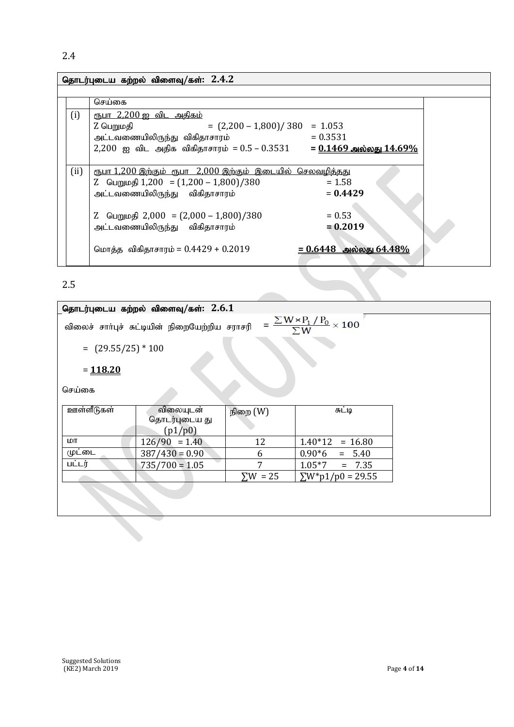# 2.4

| தொடர்புடைய கற்றல் விளைவு/கள்: $2.4.2$ |                                                                          |  |  |  |
|---------------------------------------|--------------------------------------------------------------------------|--|--|--|
|                                       |                                                                          |  |  |  |
|                                       | செய்கை                                                                   |  |  |  |
| (i)                                   | <u>ரூபா 2,200 ஐ விட அதிகம்</u>                                           |  |  |  |
|                                       | $= (2,200 - 1,800) / 380 = 1.053$<br>Z பெறுமதி                           |  |  |  |
|                                       | $= 0.3531$<br>அட்டவணையிலிருந்து விகிதாசாரம்                              |  |  |  |
|                                       | 2,200 ஐ விட அதிக விகிதாசாரம் = $0.5 - 0.3531 = 0.1469$ அல்லது 14.69%     |  |  |  |
|                                       |                                                                          |  |  |  |
| (ii)                                  | <u>ரூபா 1,200 இற்கும் ரூபா 2,000 இற்கும் இடையில் செலவழித்தது</u>         |  |  |  |
|                                       | Z பெறுமதி $1,200 = (1,200 - 1,800)/380$<br>$= 1.58$                      |  |  |  |
|                                       | $= 0.4429$<br>அட்டவணையிலிருந்து விகிதாசாரம்                              |  |  |  |
|                                       |                                                                          |  |  |  |
|                                       | Z பெறுமதி 2,000 = $(2,000 - 1,800)/380$<br>$= 0.53$                      |  |  |  |
|                                       | $= 0.2019$<br>அட்டவணையிலிருந்து விகிதாசாரம்                              |  |  |  |
|                                       |                                                                          |  |  |  |
|                                       | <u>= 0.6448   அல்லது 64.48%</u><br>மொத்த விகிதாசாரம் = $0.4429 + 0.2019$ |  |  |  |
|                                       |                                                                          |  |  |  |
|                                       |                                                                          |  |  |  |
| つに                                    |                                                                          |  |  |  |

2.5

|                                              | தொடர்புடைய கற்றல் விளைவு/கள்: $2.6.1$                                                               |          |                        |  |  |  |
|----------------------------------------------|-----------------------------------------------------------------------------------------------------|----------|------------------------|--|--|--|
|                                              | $=\frac{\sum W \times P_1/P_0}{\sum W} \times 100$<br>விலைச் சாா்புச் சுட்டியின் நிறையேற்றிய சராசரி |          |                        |  |  |  |
|                                              | $=$ (29.55/25) * 100                                                                                |          |                        |  |  |  |
| $= 118.20$                                   |                                                                                                     |          |                        |  |  |  |
| செய்கை                                       |                                                                                                     |          |                        |  |  |  |
| ஊள்ளீடுகள்                                   | விலையுடன்<br>தொடர்புடைய து                                                                          | நிறை (W) | சுட்டி                 |  |  |  |
|                                              | (p1/p0)                                                                                             |          |                        |  |  |  |
| மா                                           | $126/90 = 1.40$                                                                                     | 12       | $1.40*12$<br>$= 16.80$ |  |  |  |
| முட்டை                                       | $387/430 = 0.90$                                                                                    | 6        | $0.90*6$<br>$= 5.40$   |  |  |  |
| பட்டர்                                       | $735/700 = 1.05$                                                                                    | 7        | $= 7.35$<br>$1.05*7$   |  |  |  |
| $\Sigma W = 25$<br>$\Sigma W^*p1/p0 = 29.55$ |                                                                                                     |          |                        |  |  |  |
|                                              |                                                                                                     |          |                        |  |  |  |
|                                              |                                                                                                     |          |                        |  |  |  |

 $\blacktriangledown$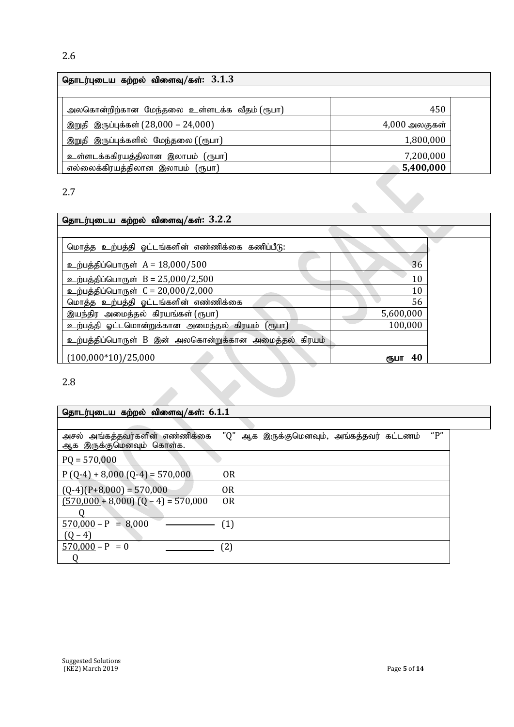| தொடர்புடைய கற்றல் விளைவு/கள்: $3.1.3$       |                 |  |  |  |  |
|---------------------------------------------|-----------------|--|--|--|--|
|                                             |                 |  |  |  |  |
| அலகொன்றிற்கான மேந்தலை உள்ளடக்க வீதம் (ரூபா) | 450             |  |  |  |  |
| இறுதி இருப்புக்கள் (28,000 – 24,000)        | $4,000$ அலகுகள் |  |  |  |  |
| இறுதி இருப்புக்களில் மேந்தலை ((ரூபா)        | 1,800,000       |  |  |  |  |
| உள்ளடக்ககிரயத்திலான இலாபம் (ரூபா)           | 7,200,000       |  |  |  |  |
| எல்லைக்கிரயத்திலான இலாபம் (ரூபா)            | 5,400,000       |  |  |  |  |

2.7

| $\mathcal{L}$ . /                                    |            |  |
|------------------------------------------------------|------------|--|
| தொடர்புடைய கற்றல் விளைவு/கள்: $3.2.2$                |            |  |
|                                                      |            |  |
| மொத்த உற்பத்தி ஓட்டங்களின் எண்ணிக்கை கணிப்பீடு:      |            |  |
| உற்பத்திப்பொருள் $A = 18,000/500$                    | 36         |  |
| உற்பத்திப்பொருள் B = 25,000/2,500                    | 10         |  |
| உற்பத்திப்பொருள் C = 20,000/2,000                    | 10         |  |
| மொத்த உற்பத்தி ஓட்டங்களின் எண்ணிக்கை                 | 56         |  |
| இயந்திர அமைத்தல் கிரயங்கள் (ரூபா)                    | 5,600,000  |  |
| உற்பத்தி ஓட்டமொன்றுக்கான அமைத்தல் கிரயம் (ரூபா)      | 100,000    |  |
| உற்பத்திப்பொருள் B இன் அலகொன்றுக்கான அமைத்தல் கிரயம் |            |  |
| $(100,000*10)/25,000$                                | 40<br>ரூபா |  |
| 2.8                                                  |            |  |

| தொடர்புடைய கற்றல் விளைவு/கள்: 6.1.1                        |                                                     |  |
|------------------------------------------------------------|-----------------------------------------------------|--|
|                                                            |                                                     |  |
| அசல் அங்கத்தவர்களின் எண்ணிக்கை<br>ஆக இருக்குமெனவும் கொள்க. | " $P"$<br>"Q" ஆக இருக்குமெனவும், அங்கத்தவர் கட்டணம் |  |
| $PQ = 570,000$                                             |                                                     |  |
| $P(Q-4) + 8,000 (Q-4) = 570,000$                           | <b>OR</b>                                           |  |
| $(Q-4)(P+8,000) = 570,000$                                 | 0R                                                  |  |
| $(570,000 + 8,000)$ $(Q - 4) = 570,000$                    | <b>OR</b>                                           |  |
| $570,000 - P = 8,000$                                      | (1)                                                 |  |
| $(Q - 4)$                                                  |                                                     |  |
| $570,000 - P = 0$                                          | (2)                                                 |  |
|                                                            |                                                     |  |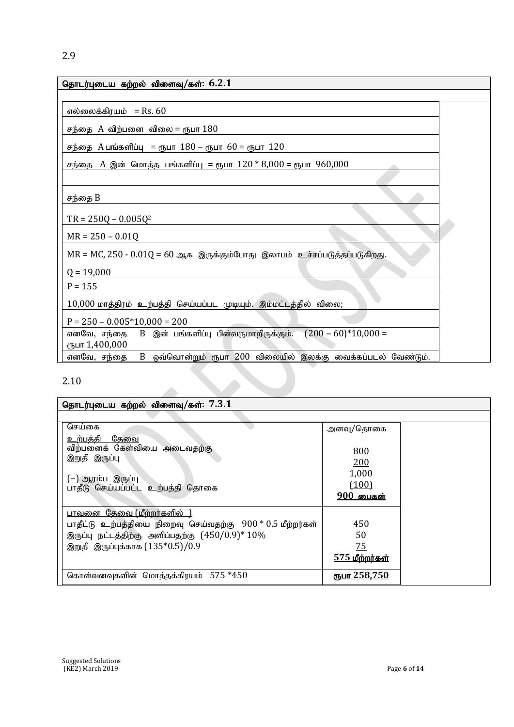| தொடர்புடைய கற்றல் விளைவு/கள்: $6.2.1$                                          |  |
|--------------------------------------------------------------------------------|--|
|                                                                                |  |
| எல்லைக்கிரயம் = $\text{Rs. }60$                                                |  |
| சந்தை $A$ விற்பனை விலை = ரூபா $180$                                            |  |
| சந்தை $A$ பங்களிப்பு = ரூபா $180 -$ ரூபா $60 =$ ரூபா $120$                     |  |
| சந்தை A இன் மொத்த பங்களிப்பு = ரூபா $120 * 8,000 =$ ரூபா $960,000$             |  |
|                                                                                |  |
| சந்தை B                                                                        |  |
| $TR = 250Q - 0.005Q^2$                                                         |  |
| $MR = 250 - 0.01Q$                                                             |  |
| $MR = MC$ , $250 - 0.01Q = 60$ ஆக இருக்கும்போது இலாபம் உச்சப்படுத்தப்படுகிறது. |  |
| $Q = 19,000$                                                                   |  |
| $P = 155$                                                                      |  |
| $10,000$ மாத்திரம் உற்பத்தி செய்யப்பட முடியும். இம்மட்டத்தில் விலை;            |  |
| $P = 250 - 0.005*10,000 = 200$                                                 |  |
| $(200 - 60)*10,000 =$<br>ரூபா 1,400,000                                        |  |
| B ஒவ்வொன்றும் ரூபா 200 விலையில் இலக்கு வைக்கப்படல் வேண்டும்.<br>எனவே, சந்தை    |  |
| 2.10                                                                           |  |

| தொடர்புடைய கற்றல் விளைவு/கள்: $7.3.1$                                                                                                                                                          |                                                  |  |  |  |
|------------------------------------------------------------------------------------------------------------------------------------------------------------------------------------------------|--------------------------------------------------|--|--|--|
|                                                                                                                                                                                                |                                                  |  |  |  |
| செய்கை                                                                                                                                                                                         | அளவு/தொகை                                        |  |  |  |
| <u>உற்பத்தி தேவை</u><br>விற்பனைக் கேள்வியை அடைவதற்கு<br>இறுதி இருப்பு<br>(-) ஆரம்ப இருப்பு<br>பாதீடு செய்யப்பட்ட உற்பத்தி தொகை                                                                 | 800<br>200<br>1,000<br>(100)<br><u>900 பைகள்</u> |  |  |  |
| <u> பாவனை  கேவை (மீற்றர்களில்  </u><br>பாதீட்டு உற்பத்தியை நிறைவு செய்வதற்கு 900 * 0.5 மீற்றர்கள்<br>இருப்பு நட்டத்திற்கு அளிப்பதற்கு $(450/0.9)$ * $10\%$<br>இறுதி இருப்புக்காக (135*0.5)/0.9 | 450<br>50<br><u>75</u><br><u>575 மீற்றர்கள்</u>  |  |  |  |
| கொள்வனவுகளின் மொத்தக்கிரயம் 575 *450                                                                                                                                                           | ரூபா 258.750                                     |  |  |  |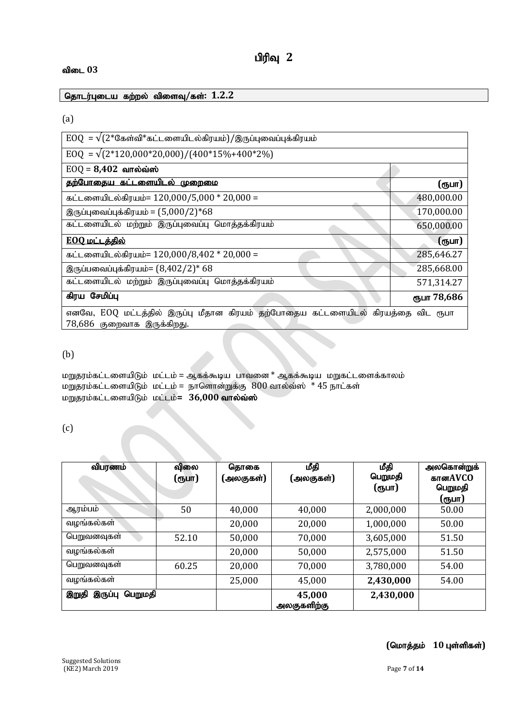#### **விடை** 03

<u>தொடர்புடைய கற்றல் விளைவு/கள்: 1.2.2</u>

#### (a)

| $EOQ = \sqrt{(2*G\pi\omega)^* \pi L \omega}$ ளையிடல்கிரயம்)/இருப்புவைப்புக்கிரயம்                              |             |
|----------------------------------------------------------------------------------------------------------------|-------------|
| $EOQ = \sqrt{(2*120,000*20,000)/(400*15\%+400*2\%)}$                                                           |             |
| $EOQ = 8,402$ வால்வ்ஸ்                                                                                         |             |
| தற்போதைய கட்டளையிடல் முறைமை                                                                                    | (ரூபா)      |
| கட்டளையிடல்கிரயம்= $120,000/5,000 * 20,000 =$                                                                  | 480,000.00  |
| இருப்புவைப்புக்கிரயம் = $(5,000/2)*68$                                                                         | 170,000.00  |
| கட்டளையிடல் மற்றும் இருப்புவைப்பு மொத்தக்கிரயம்                                                                | 650,000.00  |
| <u>EOQ மட்டத்தில்</u>                                                                                          | (ரூபா)      |
| கட்டளையிடல்கிரயம்= 120,000/8,402 * 20,000 =                                                                    | 285,646.27  |
| இருப்பவைப்புக்கிரயம்= $(8,402/2)*68$                                                                           | 285,668.00  |
| கட்டளையிடல் மற்றும் இருப்புவைப்பு மொத்தக்கிரயம்                                                                | 571,314.27  |
| கிரய சேமிப்பு                                                                                                  | ரூபா 78,686 |
| எனவே, EOQ மட்டத்தில் இருப்பு மீதான கிரயம் தற்போதைய கட்டளையிடல் கிரயத்தை விட ரூபா<br>78,686 குறைவாக இருக்கிறது. |             |

#### (b)

மறுதரம்கட்டளையிடும் மட்டம் = ஆகக்கூடிய பாவனை \* ஆகக்கூடிய மறுகட்டளைக்காலம் மறுதரம்கட்டளையிடும் மட்டம் = நாளொன்றுக்கு  $800$  வால்வ்ஸ்  $*$  45 நாட்கள் k<br>**மறுதரம்கட்டளையிடும் மட்டம்= 36,000 வால்வ்ஸ்** 

#### (c)

| விபரணம்                     | விலை<br>(ரூபா) | தொகை<br>(அலகுகள்) | மீதி<br>(அலகுகள்)     | மீதி<br>பெறுமதி<br>(ரூபா) | அலகொன்றுக்<br>கானAVCO<br>பெறுமதி<br>(ரூபா) |
|-----------------------------|----------------|-------------------|-----------------------|---------------------------|--------------------------------------------|
| ஆரம்பம்                     | 50             | 40,000            | 40,000                | 2,000,000                 | 50.00                                      |
| வழங்கல்கள்                  |                | 20,000            | 20,000                | 1,000,000                 | 50.00                                      |
| பெறுவனவுகள்                 | 52.10          | 50,000            | 70,000                | 3,605,000                 | 51.50                                      |
| வழங்கல்கள்                  |                | 20,000            | 50,000                | 2,575,000                 | 51.50                                      |
| பெறுவனவுகள்                 | 60.25          | 20,000            | 70,000                | 3,780,000                 | 54.00                                      |
| வழங்கல்கள்                  |                | 25,000            | 45,000                | 2,430,000                 | 54.00                                      |
| இறுதி<br>இருப்பு<br>பெறுமதி |                |                   | 45,000<br>அலகுகளிற்கு | 2,430,000                 |                                            |

#### $($ மொத்தம் 10 புள்ளிகள்)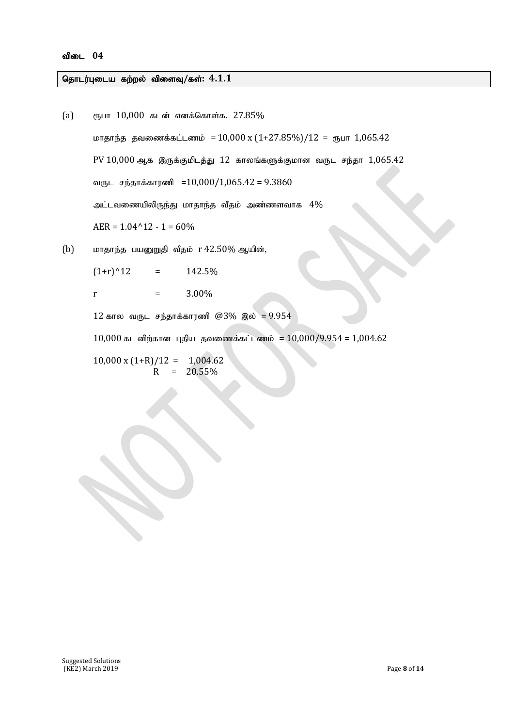#### தொடர்புடைய கற்றல் விளைவு/கள்:  $4.1.1$

(a) &gh 10,000 fld; vdf;nfhs ;f. 27.85% khjhe;j jtizf;fl;lzk; =10,000 x (1+27.85%)/12 = &gh 1,065.42 PV 10,000 Mf ,Uf;Fkplj;J 12 fhyq;fSf;Fkhd tUl re;jh 1,065.42 tUl re ;jhf;fhuzp =10,000/1,065.42 = 9.3860 ml;ltizapypUe;J khjhe;j tPjk; mz;zsthf 4% AER = 1.04^12 - 1 = 60%

(b) மாதாந்த பயனுறுதி வீதம் r 42.50% ஆயின்,

 $(1+r)^{12}$  = 142.5%

r  $=$  3.00%

 $12$  கால வருட சந்தாக்காரணி  $@3\%$  இல் = 9.954

 $10,000$  கட னிற்கான புதிய தவணைக்கட்டணம் =  $10,000/9.954$  =  $1,004.62$ 

 $10,000 \times (1+R)/12 = 1,004.62$  $R = 20.55\%$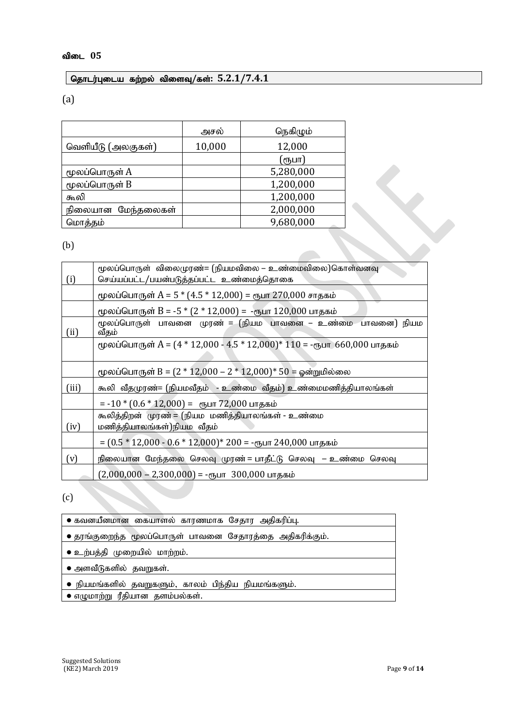#### $\boxed{$  தொடர்புடைய கற்றல் விளைவு/கள்:  $5.2.1/7.4.1$

(a)

|                    | அசல்   | நெகிழும்  |
|--------------------|--------|-----------|
| வெளியீடு (அலகுகள்) | 10,000 | 12,000    |
|                    |        | (ரூபா)    |
| மூலப்பொருள் A      |        | 5,280,000 |
| மூலப்பொருள் B      |        | 1,200,000 |
| கூலி               |        | 1,200,000 |
| நிலையான மேந்தலைகள் |        | 2,000,000 |
| மொத்தம்            |        | 9,680,000 |

|                      | மூலப்பொருள் B                                                                   | 1,200,000                                                                                         |  |  |  |
|----------------------|---------------------------------------------------------------------------------|---------------------------------------------------------------------------------------------------|--|--|--|
| கூலி                 |                                                                                 | 1,200,000                                                                                         |  |  |  |
|                      | நிலையான மேந்தலைகள்                                                              | 2,000,000                                                                                         |  |  |  |
| 9,680,000<br>மொத்தம் |                                                                                 |                                                                                                   |  |  |  |
| (b)                  |                                                                                 |                                                                                                   |  |  |  |
| (i)                  |                                                                                 | மூலப்பொருள் விலைமுரண்= (நியமவிலை – உண்மைவிலை)கொள்வனவு<br>செய்யப்பட்ட/பயன்படுத்தப்பட்ட உண்மைத்தொகை |  |  |  |
|                      |                                                                                 | மூலப்பொருள் A = 5 $*(4.5 * 12,000) =$ ரூபா 270,000 சாதகம்                                         |  |  |  |
|                      |                                                                                 | மூலப்பொருள் B = -5 $*(2 * 12,000)$ = -ரூபா 120,000 பாதகம்                                         |  |  |  |
| (ii)                 | மூலப்பொருள் பாவனை முரண் = (நியம பாவனை – உண்மை பாவனை) நியம<br>வீதம்              |                                                                                                   |  |  |  |
|                      |                                                                                 | மூலப்பொருள் A = $(4 * 12,000 - 4.5 * 12,000) * 110 = -$ ரூபா 660,000 பாதகம்                       |  |  |  |
|                      |                                                                                 | மூலப்பொருள் B = $(2 * 12,000 - 2 * 12,000) * 50 =$ ஓன்றுமில்லை                                    |  |  |  |
| (iii)                | கூலி வீதமுரண்= (நியமவீதம் - உண்மை வீதம்) உண்மைமணித்தியாலங்கள்                   |                                                                                                   |  |  |  |
|                      |                                                                                 |                                                                                                   |  |  |  |
| (iv)                 | கூலித்திறன் முரண் = (நியம மணித்தியாலங்கள் - உண்மை<br>மணித்தியாலங்கள்)நியம வீதம் |                                                                                                   |  |  |  |
|                      |                                                                                 | = $(0.5 * 12,000 - 0.6 * 12,000) * 200 = -$ ரூபா 240,000 பாதகம்                                   |  |  |  |
| (v)                  | நிலையான மேந்தலை செலவு முரண் = பாதீட்டு செலவு  – உண்மை செலவு                     |                                                                                                   |  |  |  |
|                      | $(2,000,000 - 2,300,000) = -$ ரூபா 300,000 பாதகம்                               |                                                                                                   |  |  |  |

(c)

| • கவனயீனமான கையாளல் காரணமாக சேதார அதிகரிப்பு.           |
|---------------------------------------------------------|
| • தரங்குறைந்த மூலப்பொருள் பாவனை சேதாரத்தை அதிகரிக்கும். |
| • உற்பத்தி முறையில் மாற்றம்.                            |
| • அளவீடுகளில் தவறுகள்.                                  |
| • நியமங்களில் தவறுகளும், காலம் பிந்திய நியமங்களும்.     |
| • எழுமாற்று ரீதியான தளம்பல்கள்.                         |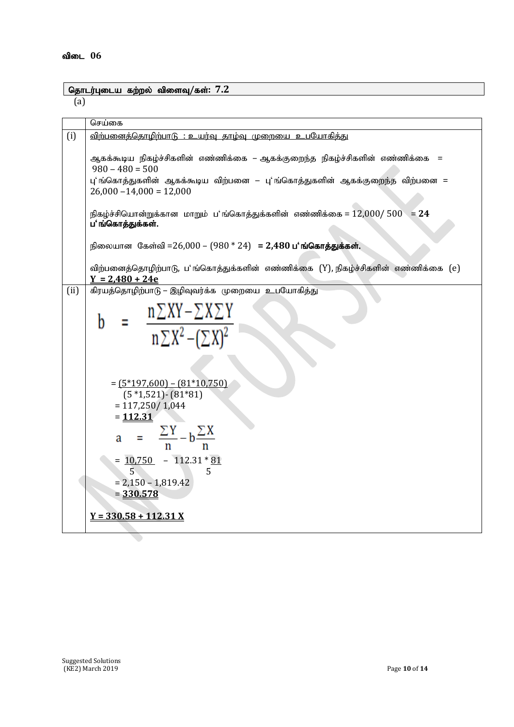### $\sqrt{G}$ தாடர்புடைய கற்றல் விளைவு/கள்: 7.2

(a)

|      | செய்கை                                                                                                                                                                                                                                                                                                                                                                              |
|------|-------------------------------------------------------------------------------------------------------------------------------------------------------------------------------------------------------------------------------------------------------------------------------------------------------------------------------------------------------------------------------------|
| (i)  | <u>விற்பனைத்தொமிற்பாடு : உயர்வு தாம்வு முறையை உபயோகித்து</u>                                                                                                                                                                                                                                                                                                                        |
|      | ஆகக்கூடிய நிகழ்ச்சிகளின் எண்ணிக்கை – ஆகக்குறைந்த நிகழ்ச்சிகளின் எண்ணிக்கை  =<br>$980 - 480 = 500$<br>பு'ங்கொத்துகளின் ஆகக்கூடிய விற்பனை – பு'ங்கொத்துகளின் ஆகக்குறைந்த விற்பனை =<br>$26,000 - 14,000 = 12,000$<br>நிகழ்ச்சியொன்றுக்கான மாறும் ப'ங்கொத்துக்களின் எண்ணிக்கை = $12,000/500$ = $24$<br>ப'ங்கொத்துக்கள்.<br>நிலையான கேள்வி =26,000 – (980 * 24) = 2,480 ப'ங்கொத்துக்கள். |
|      | விற்பனைத்தொழிற்பாடு, ப'ங்கொத்துக்களின் எண்ணிக்கை (Y), நிகழ்ச்சிகளின் எண்ணிக்கை (e)<br>$Y = 2,480 + 24e$                                                                                                                                                                                                                                                                             |
| (ii) | கிரயத்தொழிற்பாடு – இழிவுவர்க்க முறையை உபயோகித்து                                                                                                                                                                                                                                                                                                                                    |
|      | $\frac{n \sum XY - \sum X \sum Y}{n \sum X^2 - (\sum X)^2}$<br>h                                                                                                                                                                                                                                                                                                                    |
|      | $=(5*197,600) - (81*10,750)$<br>$(5 *1, 521) - (81 * 81)$<br>$= 117,250 / 1,044$<br>$= 112.31$<br>$=\frac{\sum Y}{n}-b\frac{\sum X}{n}$<br>a<br>$= 10,750 - 112.31 * 81$<br>$\overline{5}$<br>5                                                                                                                                                                                     |
|      | $= 2,150 - 1,819.42$                                                                                                                                                                                                                                                                                                                                                                |
|      | $=\underline{330.578}$                                                                                                                                                                                                                                                                                                                                                              |
|      | $Y = 330.58 + 112.31 X$                                                                                                                                                                                                                                                                                                                                                             |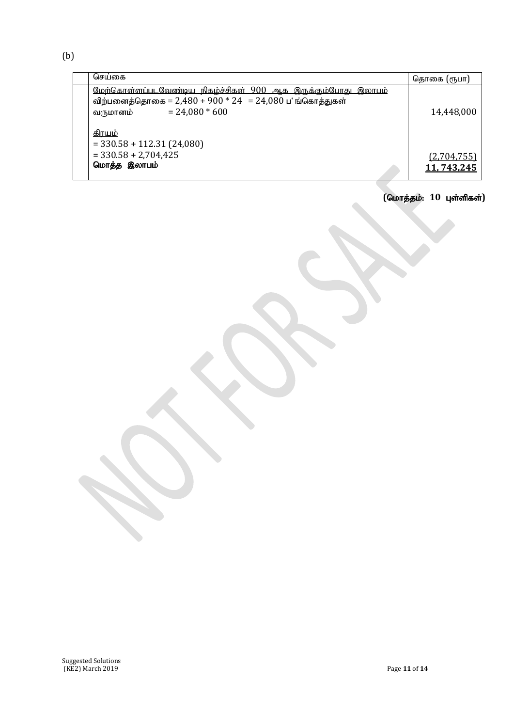(b)

| செய்கை                                                                                                                                                                            | தொகை (ரூபா)               |
|-----------------------------------------------------------------------------------------------------------------------------------------------------------------------------------|---------------------------|
| <u>மேற்கொள்ளப்படவேண்டிய நிகழ்ச்சிகள் 900 ஆக இருக்கும்போது இலாபம்</u><br>விற்பனைத்தொகை = 2,480 + 900 * 24 = 24,080 ப் ங்கொத்துகள்<br>$= 24,080 * 600$<br>வருமானம்<br><u>கிாயம்</u> | 14,448,000                |
| $=$ 330.58 + 112.31 (24,080)<br>$=$ 330.58 + 2,704,425<br>மொத்த இலாபம்                                                                                                            | (2,704,755)<br>11,743,245 |

l,

 $\mathbf{r}$ 

#### $($ மொத்தம்: 10 புள்ளிகள்)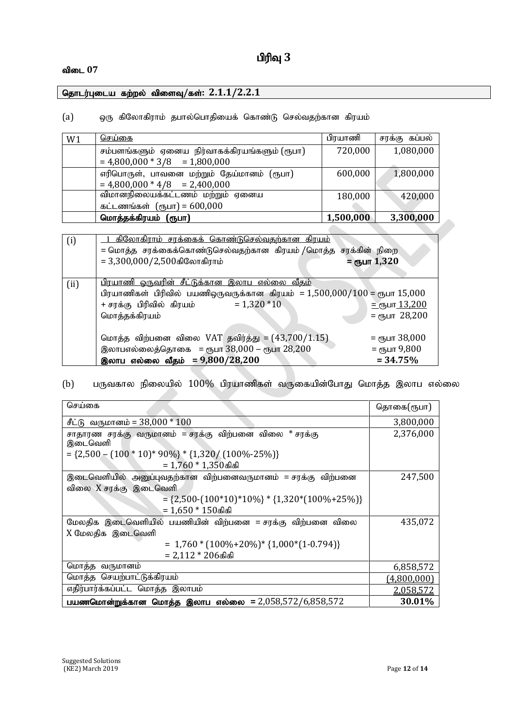#### **விடை** 07

#### தொடர்புடைய கற்றல் விளைவு/கள்: 2.1.1/2.2.1

#### (a) ஒரு கிலோகிராம் தபால்பொதியைக் கொண்டு செல்வதற்கான கிரயம்

| W1 | <u>செய்கை</u>                                                                    | பிரயாணி   | சரக்கு கப்பல் |
|----|----------------------------------------------------------------------------------|-----------|---------------|
|    | சம்பளங்களும் ஏனைய நிர்வாகக்கிரயங்களும் (ரூபா)<br>$= 4,800,000 * 3/8 = 1,800,000$ | 720,000   | 1,080,000     |
|    | எரிபொருள், பாவனை மற்றும் தேய்மானம் (ரூபா)<br>$= 4,800,000 * 4/8 = 2,400,000$     | 600,000   | 1,800,000     |
|    | விமானநிலையக்கட்டணம் மற்றும் ஏனைய<br>கட்டணங்கள் $(mu) = 600,000$                  | 180,000   | 420,000       |
|    | மொத்தக்கிரயம் (ரூபா)                                                             | 1,500,000 | 3,300,000     |
|    |                                                                                  |           |               |

| (i)  | <u>கிலோகிராம் சரக்கைக் கொண்டுசெல்வதற்கான கிரயம்</u><br>= மொத்த சரக்கைக்கொண்டுசெல்வதற்கான கிரயம் /மொத்த சரக்கின் நிறை<br>$= 3,300,000/2,500$ கிலோகிராம்                                                | = съит $1,320$                                                              |
|------|-------------------------------------------------------------------------------------------------------------------------------------------------------------------------------------------------------|-----------------------------------------------------------------------------|
| (ii) | <u>பிரயாணி ஒருவரின் சீட்டுக்கான இலாப எல்லை வீதம்</u><br>பிரயாணிகள் பிரிவில் பயணிஒருவருக்கான கிரயம் = $1,500,000/100$ = ரூபா $15,000$<br>$= 1,320 * 10$<br>+ சரக்கு  பிரிவில்  கிரயம்<br>மொத்தக்கிரயம் | $=$ спушт 13,200<br>$=$ $\epsilon$ <sup>T</sup> <sub>D</sub> $\mu$ T 28,200 |
|      | மொத்த விற்பனை விலை VAT தவிர்த்து = (43,700/1.15)<br>இலாபஎல்லைத்தொகை = ரூபா $38,000$ – ரூபா $28,200$<br>இலாப எல்லை வீதம் = $9,800/28,200$                                                              | = <sub>С</sub> пушт 38,000<br>= $\epsilon$ пушт 9,800<br>$= 34.75%$         |

#### (b) பருவகால நிலையில்  $100\%$  பிரயாணிகள் வருகையின்போது மொத்த இலாப எல்லை

| செய்கை                                                         | தொகை(ரூபா)         |
|----------------------------------------------------------------|--------------------|
| சீட்டு வருமானம் = $38,000 * 100$                               | 3,800,000          |
| சாதாரண சரக்கு வருமானம் = சரக்கு விற்பனை விலை * சரக்கு          | 2,376,000          |
| இடைவெளி                                                        |                    |
| $= \{2,500 - (100 * 10)*90\% \} * \{1,320 / (100\% - 25\% )\}$ |                    |
| $= 1,760 * 1,350$ கிகி                                         |                    |
| இடைவெளியில் அனுப்புவதற்கான விற்பனைவருமானம் = சரக்கு விற்பனை    | 247,500            |
| விலை X சரக்கு இடைவெளி                                          |                    |
| $=$ {2,500-(100*10)*10%} * {1,320*(100%+25%)}                  |                    |
| = 1,650 * 150கிகி                                              |                    |
| மேலதிக இடைவெளியில் பயணியின் விற்பனை = சரக்கு விற்பனை விலை      | 435,072            |
| X மேலதிக இடைவெளி                                               |                    |
| $= 1,760 * (100\% + 20\%) * \{1,000 * (1-0.794)\}$             |                    |
| $= 2,112 * 206$ கிகி                                           |                    |
| மொத்த வருமானம்                                                 | 6,858,572          |
| மொத்த செயற்பாட்டுக்கிரயம்                                      | <u>(4,800,000)</u> |
| எதிர்பார்க்கப்பட்ட மொத்த இலாபம்                                | 2,058,572          |
| பயணமொன்றுக்கான மொத்த இலாப எல்லை = 2,058,572/6,858,572          | 30.01%             |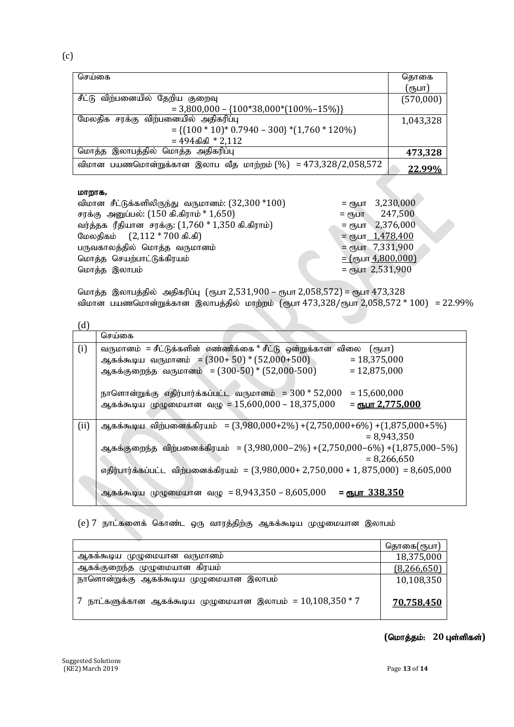(c)

| செய்கை                                                           | தொகை      |
|------------------------------------------------------------------|-----------|
|                                                                  | (ரூபா)    |
| சீட்டு விற்பனையில் தேறிய குறைவு                                  | (570,000) |
| $= 3,800,000 - \{100*38,000*(100% - 15%) \}$                     |           |
| மேலதிக சரக்கு விற்பனையில் அதிகரிப்பு                             | 1,043,328 |
| $= \{(100 * 10) * 0.7940 - 300\} * (1,760 * 120\%)$              |           |
| $= 494$ கிகி $* 2,112$                                           |           |
| மொத்த இலாபத்தில் மொத்த அதிகரிப்பு                                | 473,328   |
| விமான பயணமொன்றுக்கான இலாப வீத மாற்றம் $(\%) = 473,328/2,058,572$ | 22.99%    |

#### **LDПf**,

| விமான சீட்டுக்களிலிருந்து வருமானம்: $(32,300 * 100)$       | $=$ $\epsilon$ <sup>16</sup> <sub>LHT</sub> 3,230,000 |
|------------------------------------------------------------|-------------------------------------------------------|
| சரக்கு அனுப்பல்: $(150 \text{ A}.\text{a}$ ராம் * $1,650)$ | 247,500<br>$=$ $e$ <sup>T</sup> <sub>D</sub> $\Box$ T |
| வர்த்தக ரீதியான சரக்கு: $(1,760 * 1,350)$ கி.கிராம்)       | $=$ $\epsilon$ гъшт $= 2,376,000$                     |
| மேலதிகம் (2,112 * 700 கி.கி)                               | $=$ $\epsilon$ гђиг $-1,478,400$                      |
| பருவகாலத்தில் மொத்த வருமானம்                               | $=$ ரூபா 7,331,900                                    |
| மொத்த செயற்பாட்டுக்கிரயம்                                  | $=$ (сҧит_4,800,000)                                  |
| மொத்த இலாபம்                                               | = сълт 2,531,900                                      |

மொத்த இலாபத்தில் அதிகரிப்பு (ரூபா 2,531,900 – ரூபா 2,058,572) = ரூபா 473,328 விமான பயணமொன்றுக்கான இலாபத்தில் மாற்றம் (ரூபா  $473,328$ /ரூபா  $2,058,572 * 100$ ) =  $22.99\%$ 

| (d)  |                                                                                                                                                                                                                                                                                             |
|------|---------------------------------------------------------------------------------------------------------------------------------------------------------------------------------------------------------------------------------------------------------------------------------------------|
|      | செய்கை                                                                                                                                                                                                                                                                                      |
| (i)  | வருமானம் = சீட்டுக்களின் எண்ணிக்கை * சீட்டு ஒன்றுக்கான விலை<br>(ரூபா)<br>ஆகக்கூடிய வருமானம் = $(300+50)*(52,000+500)$<br>$= 18,375,000$<br>ஆகக்குறைந்த வருமானம் = (300-50) * (52,000-500)<br>$= 12,875,000$                                                                                 |
|      | $= 15,600,000$<br>ஆகக்கூடிய முழுமையான வழு = $15,600,000$ – $18,375,000$<br><u>= ரூபா 2,775,000</u>                                                                                                                                                                                          |
| (ii) | ஆகக்கூடிய விற்பனைக்கிரயம் = $(3,980,000+2\%) + (2,750,000+6\%) + (1,875,000+5\%)$<br>$= 8,943,350$<br>ஆகக்குறைந்த விற்பனைக்கிரயம் = (3,980,000–2%) +(2,750,000–6%) +(1,875,000–5%)<br>$= 8,266,650$<br>எதிர்பார்க்கப்பட்ட விற்பனைக்கிரயம் = (3,980,000+ 2,750,000 + 1, 875,000) = 8,605,000 |
|      | ஆகக்கூடிய முழுமையான வழு = 8,943,350 – 8,605,000<br>$=$ CTL $1.338,350$                                                                                                                                                                                                                      |

#### (e) 7 நாட்களைக் கொண்ட ஒரு வாரத்திற்கு ஆகக்கூடிய முழுமையான இலாபம்

|                                                              | தொகை(ரூபா)  |
|--------------------------------------------------------------|-------------|
| ஆக்ககூடிய முழுமையான வருமானம                                  | 18,375,000  |
| ஆகக்குறைந்த முழுமையான கிரயம்                                 | (8,266,650) |
| நாளொன்றுக்கு ஆகக்கூடிய முழுமையான இலாபம்                      | 10,108,350  |
| 7 நாட்களுக்கான ஆகக்கூடிய முழுமையான இலாபம் = $10,108,350 * 7$ | 70,758,450  |

 $($ மொத்தம்: 20 புள்ளிகள்)